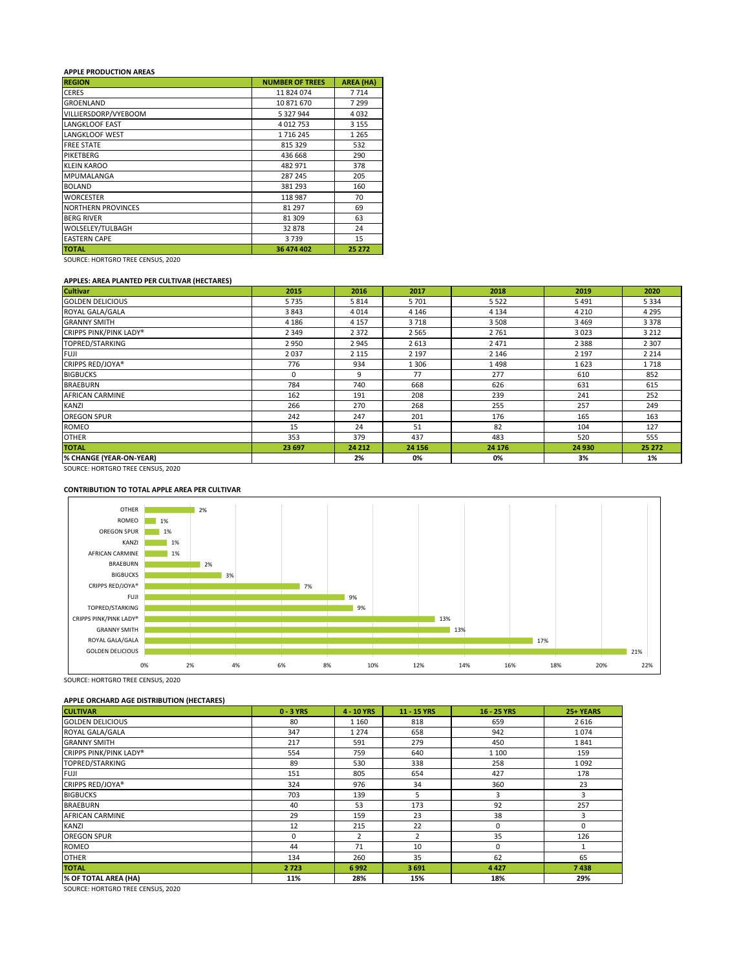## **APPLE PRODUCTION AREAS**

| <b>REGION</b>             | <b>NUMBER OF TREES</b> | <b>AREA (HA)</b> |
|---------------------------|------------------------|------------------|
| <b>CERES</b>              | 11824074               | 7714             |
| <b>GROENLAND</b>          | 10 871 670             | 7 2 9 9          |
| VILLIERSDORP/VYEBOOM      | 5 327 944              | 4032             |
| <b>LANGKLOOF EAST</b>     | 4 012 753              | 3 1 5 5          |
| <b>LANGKLOOF WEST</b>     | 1716245                | 1 2 6 5          |
| <b>FREE STATE</b>         | 815 329                | 532              |
| PIKETBERG                 | 436 668                | 290              |
| <b>KLEIN KAROO</b>        | 482 971                | 378              |
| MPUMALANGA                | 287 245                | 205              |
| <b>BOLAND</b>             | 381 293                | 160              |
| <b>WORCESTER</b>          | 118 987                | 70               |
| <b>NORTHERN PROVINCES</b> | 81 297                 | 69               |
| <b>BERG RIVER</b>         | 81 309                 | 63               |
| WOLSELEY/TULBAGH          | 32878                  | 24               |
| <b>EASTERN CAPE</b>       | 3739                   | 15               |
| <b>TOTAL</b>              | 36 474 402             | 25 27 2          |

SOURCE: HORTGRO TREE CENSUS, 2020

#### **APPLES: AREA PLANTED PER CULTIVAR (HECTARES)**

| <b>Cultivar</b>         | 2015    | 2016    | 2017    | 2018    | 2019    | 2020    |
|-------------------------|---------|---------|---------|---------|---------|---------|
| <b>GOLDEN DELICIOUS</b> | 5735    | 5814    | 5701    | 5522    | 5491    | 5 3 3 4 |
| ROYAL GALA/GALA         | 3843    | 4014    | 4 1 4 6 | 4 1 3 4 | 4 2 1 0 | 4 2 9 5 |
| <b>GRANNY SMITH</b>     | 4 1 8 6 | 4 1 5 7 | 3718    | 3 5 0 8 | 3 4 6 9 | 3 3 7 8 |
| CRIPPS PINK/PINK LADY®  | 2 3 4 9 | 2372    | 2 5 6 5 | 2761    | 3023    | 3 2 1 2 |
| TOPRED/STARKING         | 2950    | 2945    | 2613    | 2471    | 2 3 8 8 | 2 3 0 7 |
| <b>FUJI</b>             | 2037    | 2 1 1 5 | 2 1 9 7 | 2 1 4 6 | 2 1 9 7 | 2 2 1 4 |
| CRIPPS RED/JOYA®        | 776     | 934     | 1 3 0 6 | 1498    | 1623    | 1718    |
| <b>BIGBUCKS</b>         | 0       | 9       | 77      | 277     | 610     | 852     |
| <b>BRAEBURN</b>         | 784     | 740     | 668     | 626     | 631     | 615     |
| <b>AFRICAN CARMINE</b>  | 162     | 191     | 208     | 239     | 241     | 252     |
| <b>KANZI</b>            | 266     | 270     | 268     | 255     | 257     | 249     |
| <b>OREGON SPUR</b>      | 242     | 247     | 201     | 176     | 165     | 163     |
| ROMEO                   | 15      | 24      | 51      | 82      | 104     | 127     |
| <b>OTHER</b>            | 353     | 379     | 437     | 483     | 520     | 555     |
| <b>TOTAL</b>            | 23 697  | 24 212  | 24 15 6 | 24 176  | 24 930  | 25 27 2 |
| % CHANGE (YEAR-ON-YEAR) |         | 2%      | 0%      | 0%      | 3%      | 1%      |

SOURCE: HORTGRO TREE CENSUS, 2020

## **CONTRIBUTION TO TOTAL APPLE AREA PER CULTIVAR**



SOURCE: HORTGRO TREE CENSUS, 2020

## **APPLE ORCHARD AGE DISTRIBUTION (HECTARES)**

| $\overline{\phantom{a}}$<br><b>CULTIVAR</b> | $0 - 3$ YRS | 4 - 10 YRS              | 11 - 15 YRS    | 16 - 25 YRS | 25+ YEARS |
|---------------------------------------------|-------------|-------------------------|----------------|-------------|-----------|
| <b>GOLDEN DELICIOUS</b>                     | 80          | 1 1 6 0                 | 818            | 659         | 2616      |
| ROYAL GALA/GALA                             | 347         | 1 2 7 4                 | 658            | 942         | 1074      |
| <b>GRANNY SMITH</b>                         | 217         | 591                     | 279            | 450         | 1841      |
| CRIPPS PINK/PINK LADY®                      | 554         | 759                     | 640            | 1 1 0 0     | 159       |
| TOPRED/STARKING                             | 89          | 530                     | 338            | 258         | 1092      |
| <b>FUJI</b>                                 | 151         | 805                     | 654            | 427         | 178       |
| CRIPPS RED/JOYA®                            | 324         | 976                     | 34             | 360         | 23        |
| <b>BIGBUCKS</b>                             | 703         | 139                     | 5              | 3           | 3         |
| <b>BRAEBURN</b>                             | 40          | 53                      | 173            | 92          | 257       |
| <b>AFRICAN CARMINE</b>                      | 29          | 159                     | 23             | 38          |           |
| <b>KANZI</b>                                | 12          | 215                     | 22             | 0           | 0         |
| <b>OREGON SPUR</b>                          | $\Omega$    | $\overline{\mathbf{z}}$ | $\overline{2}$ | 35          | 126       |
| ROMEO                                       | 44          | 71                      | 10             | 0           |           |
| <b>OTHER</b>                                | 134         | 260                     | 35             | 62          | 65        |
| <b>TOTAL</b>                                | 2723        | 6992                    | 3691           | 4427        | 7438      |
| % OF TOTAL AREA (HA)                        | 11%         | 28%                     | 15%            | 18%         | 29%       |

SOURCE: HORTGRO TREE CENSUS, 2020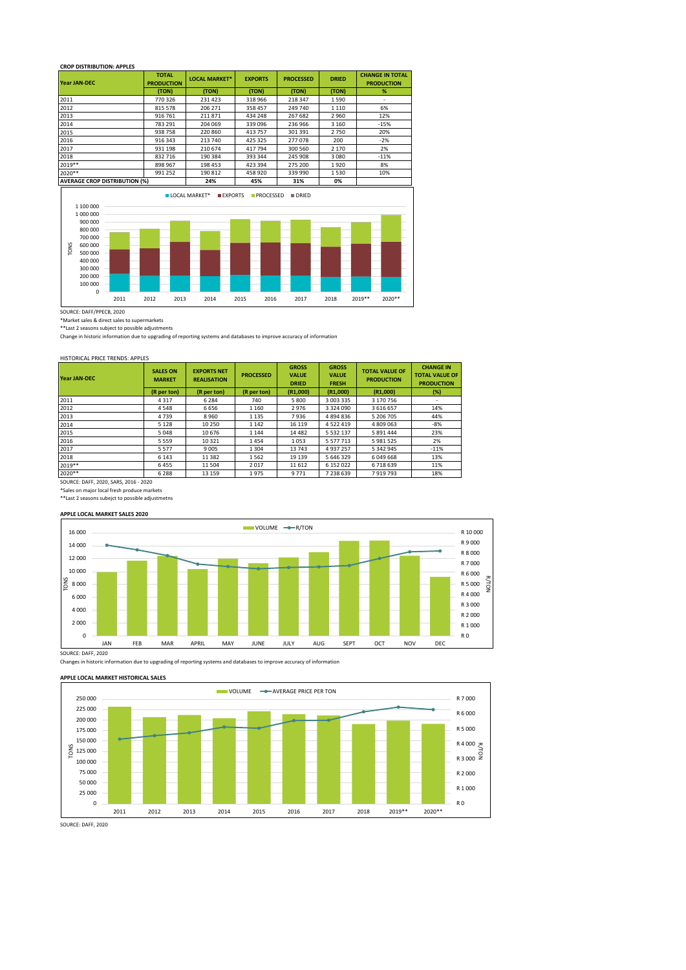#### **CROP DISTRIBUTION: APPLES**

| <b>Year JAN-DEC</b>                                                                                                                            | <b>TOTAL</b><br><b>PRODUCTION</b> | <b>LOCAL MARKET*</b>                           | <b>EXPORTS</b>                   | <b>PROCESSED</b>     | <b>DRIED</b> | <b>CHANGE IN TOTAL</b><br><b>PRODUCTION</b> |
|------------------------------------------------------------------------------------------------------------------------------------------------|-----------------------------------|------------------------------------------------|----------------------------------|----------------------|--------------|---------------------------------------------|
|                                                                                                                                                | (TON)                             | (TON)                                          | (TON)                            | (TON)                | (TON)        | %                                           |
| 2011                                                                                                                                           | 770 326                           | 231 423                                        | 318 966                          | 218 347              | 1590         | ÷,                                          |
| 2012                                                                                                                                           | 815 578                           | 206 271                                        | 358 457                          | 249 740              | 1 1 1 0      | 6%                                          |
| 2013                                                                                                                                           | 916 761                           | 211871                                         | 434 248                          | 267 682              | 2960         | 12%                                         |
| 2014                                                                                                                                           | 783 291                           | 204 069                                        | 339 096                          | 236 966              | 3 1 6 0      | $-15%$                                      |
| 2015                                                                                                                                           | 938758                            | 220 860                                        | 413757                           | 301 391              | 2750         | 20%                                         |
| 2016                                                                                                                                           | 916 343                           | 213 740                                        | 425 325                          | 277078               | 200          | $-2%$                                       |
| 2017                                                                                                                                           | 931 198                           | 210 674                                        | 417794                           | 300 560              | 2 1 7 0      | 2%                                          |
| 2018                                                                                                                                           | 832 716                           | 190 384                                        | 393 344                          | 245 908              | 3 0 8 0      | $-11%$                                      |
| 2019 **                                                                                                                                        | 898 967                           | 198 453                                        | 423 394                          | 275 200              | 1920         | 8%                                          |
| 2020**                                                                                                                                         | 991 252                           | 190 812                                        | 458 920                          | 339 990              | 1530         | 10%                                         |
| <b>AVERAGE CROP DISTRIBUTION (%)</b>                                                                                                           |                                   | 24%                                            | 45%                              | 31%                  | 0%           |                                             |
| 1 100 000<br>1 000 000<br>900 000<br>800 000<br>700 000<br>TONS<br>600 000<br>500 000<br>400 000<br>300 000<br>200 000<br>100 000<br>0<br>2011 | 2012<br>2013                      | <b>LOCAL MARKET*</b><br><b>EXPORTS</b><br>2014 | <b>PROCESSED</b><br>2015<br>2016 | <b>DRIED</b><br>2017 | 2018         | 2020**<br>2019**                            |

SOURCE: DAFF/PPECB, 2020

\*Market sales & direct sales to supermarkets

\*\*Last 2 seasons subject to possible adjustments Change in historic information due to upgrading of reporting systems and databases to improve accuracy of information

## HISTORICAL PRICE TRENDS: APPLES

| <b>Year JAN-DEC</b> | <b>SALES ON</b><br><b>MARKET</b> | <b>EXPORTS NET</b><br><b>REALISATION</b> | <b>PROCESSED</b> | <b>GROSS</b><br><b>VALUE</b><br><b>DRIED</b> | <b>GROSS</b><br><b>VALUE</b><br><b>FRESH</b> | <b>TOTAL VALUE OF</b><br><b>PRODUCTION</b> | <b>CHANGE IN</b><br><b>TOTAL VALUE OF</b><br><b>PRODUCTION</b> |
|---------------------|----------------------------------|------------------------------------------|------------------|----------------------------------------------|----------------------------------------------|--------------------------------------------|----------------------------------------------------------------|
|                     | (R per ton)                      | (R per ton)                              | (R per ton)      | (R1,000)                                     | (R1,000)                                     | (R1,000)                                   | (%)                                                            |
| 2011                | 4 3 1 7                          | 6 2 8 4                                  | 740              | 5800                                         | 3 003 335                                    | 3 170 756                                  | $\overline{\phantom{a}}$                                       |
| 2012                | 4548                             | 6656                                     | 1 1 6 0          | 2976                                         | 3 3 2 4 0 9 0                                | 3616657                                    | 14%                                                            |
| 2013                | 4739                             | 8960                                     | 1 1 3 5          | 7936                                         | 4894836                                      | 5 206 705                                  | 44%                                                            |
| 2014                | 5 1 2 8                          | 10 250                                   | 1 1 4 2          | 16 119                                       | 4522419                                      | 4809063                                    | $-8%$                                                          |
| 2015                | 5048                             | 10676                                    | 1 1 4 4          | 14 4 8 2                                     | 5 5 3 2 1 3 7                                | 5 891 444                                  | 23%                                                            |
| 2016                | 5559                             | 10 3 21                                  | 1454             | 1053                                         | 5 5 7 7 7 1 3                                | 5981525                                    | 2%                                                             |
| 2017                | 5 5 7 7                          | 9 0 0 5                                  | 1 3 0 4          | 13743                                        | 4937257                                      | 5 342 945                                  | $-11%$                                                         |
| 2018                | 6 1 4 3                          | 11 3 8 2                                 | 1562             | 19 139                                       | 5646329                                      | 6049668                                    | 13%                                                            |
| 2019**              | 6455                             | 11 504                                   | 2017             | 11 612                                       | 6 152 022                                    | 6718639                                    | 11%                                                            |
| 2020**              | 6 2 8 8                          | 13 15 9                                  | 1975             | 9771                                         | 7238639                                      | 7919793                                    | 18%                                                            |

SOURCE: DAFF, 2020, SARS, 2016 - 2020

\*Sales on major local fresh produce markets \*\*Last 2 seasons subejct to possible adjustmetns

#### **APPLE LOCAL MARKET SALES 2020**



Changes in historic information due to upgrading of reporting systems and databases to improve accuracy of information

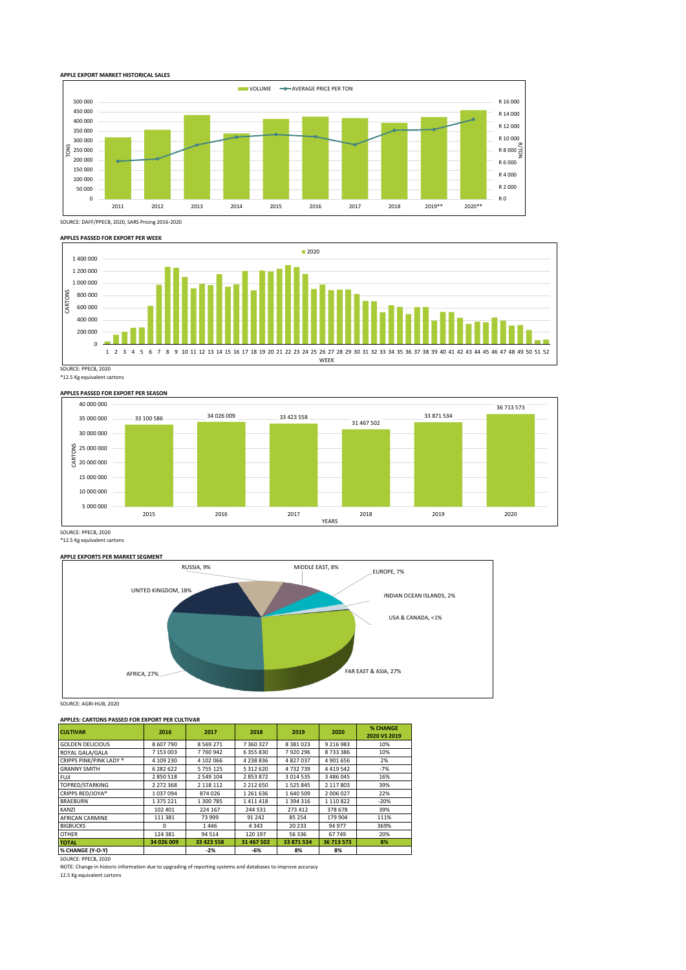





\*12.5 Kg equivalent cartons



SOURCE: PPECB, 2020 \*12.5 Kg equivalent cartons

#### **APPLE EXPORTS PER MARKET SEGMENT**



SOURCE: AGRI-HUB, 2020

#### **APPLES: CARTONS PASSED FOR EXPORT PER CULTIVAR**

| <b>CULTIVAR</b>                                                                                              | 2016       | 2017          | 2018          | 2019          | 2020          | <b>% CHANGE</b><br>2020 VS 2019 |
|--------------------------------------------------------------------------------------------------------------|------------|---------------|---------------|---------------|---------------|---------------------------------|
| <b>GOLDEN DELICIOUS</b>                                                                                      | 8 607 790  | 8 5 6 9 2 7 1 | 7 360 327     | 8 3 8 1 0 2 3 | 9 2 1 6 9 8 3 | 10%                             |
| ROYAL GALA/GALA                                                                                              | 7 153 003  | 7760942       | 6 355 830     | 7920296       | 8733386       | 10%                             |
| CRIPPS PINK/PINK LADY ®                                                                                      | 4 109 230  | 4 102 066     | 4 2 3 8 8 3 6 | 4827037       | 4 901 656     | 2%                              |
| <b>GRANNY SMITH</b>                                                                                          | 6 282 622  | 5 755 125     | 5 312 620     | 4732739       | 4419542       | $-7%$                           |
| FUJI                                                                                                         | 2850518    | 2 549 104     | 2853872       | 3 0 1 4 5 3 5 | 3 486 045     | 16%                             |
| TOPRED/STARKING                                                                                              | 2 272 368  | 2 118 112     | 2 2 1 2 6 5 0 | 1525845       | 2 117 803     | 39%                             |
| CRIPPS RED/JOYA®                                                                                             | 1037094    | 874026        | 1 261 636     | 1640509       | 2 006 027     | 22%                             |
| <b>BRAEBURN</b>                                                                                              | 1 375 221  | 1 300 785     | 1411418       | 1 394 316     | 1 110 822     | $-20%$                          |
| KANZI                                                                                                        | 102 401    | 224 167       | 244 531       | 273 412       | 378 678       | 39%                             |
| <b>AFRICAN CARMINE</b>                                                                                       | 111 381    | 73 999        | 91 242        | 85 254        | 179 904       | 111%                            |
| <b>BIGBUCKS</b>                                                                                              | O          | 1446          | 4343          | 20 23 3       | 94 977        | 369%                            |
| <b>OTHER</b>                                                                                                 | 124 381    | 94 5 14       | 120 197       | 56 336        | 67749         | 20%                             |
| <b>TOTAL</b>                                                                                                 | 34 026 009 | 33 423 558    | 31 467 502    | 33 871 534    | 36 713 573    | 8%                              |
| % CHANGE (Y-O-Y)                                                                                             |            | $-2%$         | $-6%$         | 8%            | 8%            |                                 |
| SOURCE: PPECB, 2020                                                                                          |            |               |               |               |               |                                 |
| NOTE: Change in historic information due to upgrading of reporting systems and databases to improve accuracy |            |               |               |               |               |                                 |

12.5 Kg equivalent cartons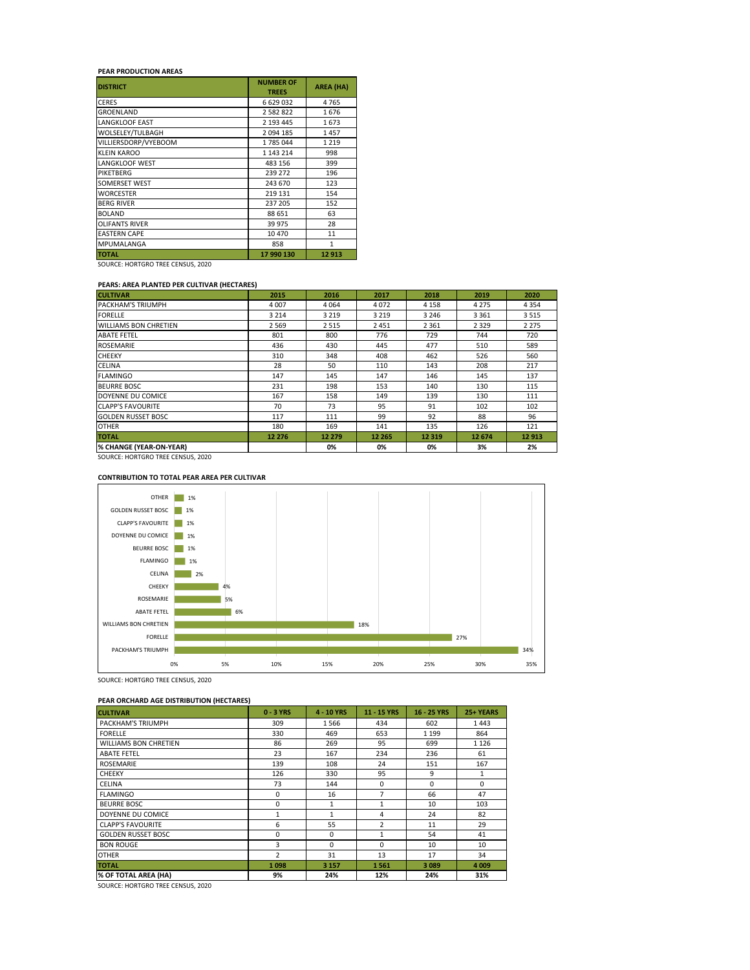# **PEAR PRODUCTION AREAS**

| <b>DISTRICT</b>       | <b>NUMBER OF</b><br><b>TREES</b> | <b>AREA (HA)</b> |
|-----------------------|----------------------------------|------------------|
| <b>CERES</b>          | 6 629 032                        | 4765             |
| <b>GROENLAND</b>      | 2 582 822                        | 1676             |
| <b>LANGKLOOF EAST</b> | 2 193 445                        | 1673             |
| WOLSELEY/TULBAGH      | 2 094 185                        | 1457             |
| VILLIERSDORP/VYEBOOM  | 1785044                          | 1 2 1 9          |
| <b>KLEIN KAROO</b>    | 1 143 214                        | 998              |
| <b>LANGKLOOF WEST</b> | 483 156                          | 399              |
| <b>PIKETBERG</b>      | 239 272                          | 196              |
| SOMERSET WEST         | 243 670                          | 123              |
| <b>WORCESTER</b>      | 219 131                          | 154              |
| <b>BERG RIVER</b>     | 237 205                          | 152              |
| <b>BOLAND</b>         | 88 651                           | 63               |
| <b>OLIFANTS RIVER</b> | 39 975                           | 28               |
| <b>EASTERN CAPE</b>   | 10 470                           | 11               |
| MPUMALANGA            | 858                              | $\mathbf{1}$     |
| <b>TOTAL</b>          | 17 990 130                       | 12913            |

SOURCE: HORTGRO TREE CENSUS, 2020

#### **PEARS: AREA PLANTED PER CULTIVAR (HECTARES)**

| <b>CULTIVAR</b>              | 2015    | 2016    | 2017    | 2018    | 2019    | 2020    |
|------------------------------|---------|---------|---------|---------|---------|---------|
| PACKHAM'S TRIUMPH            | 4 0 0 7 | 4064    | 4072    | 4 1 5 8 | 4 2 7 5 | 4 3 5 4 |
| <b>FORELLE</b>               | 3 2 1 4 | 3 2 1 9 | 3 2 1 9 | 3 2 4 6 | 3 3 6 1 | 3515    |
| <b>WILLIAMS BON CHRETIEN</b> | 2 5 6 9 | 2515    | 2 4 5 1 | 2 3 6 1 | 2 3 2 9 | 2 2 7 5 |
| <b>ABATE FETEL</b>           | 801     | 800     | 776     | 729     | 744     | 720     |
| <b>ROSEMARIE</b>             | 436     | 430     | 445     | 477     | 510     | 589     |
| <b>CHEEKY</b>                | 310     | 348     | 408     | 462     | 526     | 560     |
| <b>CELINA</b>                | 28      | 50      | 110     | 143     | 208     | 217     |
| <b>FLAMINGO</b>              | 147     | 145     | 147     | 146     | 145     | 137     |
| <b>BEURRE BOSC</b>           | 231     | 198     | 153     | 140     | 130     | 115     |
| DOYENNE DU COMICE            | 167     | 158     | 149     | 139     | 130     | 111     |
| <b>CLAPP'S FAVOURITE</b>     | 70      | 73      | 95      | 91      | 102     | 102     |
| <b>GOLDEN RUSSET BOSC</b>    | 117     | 111     | 99      | 92      | 88      | 96      |
| <b>OTHER</b>                 | 180     | 169     | 141     | 135     | 126     | 121     |
| <b>TOTAL</b>                 | 12 276  | 12 279  | 12 265  | 12 3 19 | 12 674  | 12 913  |
| % CHANGE (YEAR-ON-YEAR)      |         | 0%      | 0%      | 0%      | 3%      | 2%      |

SOURCE: HORTGRO TREE CENSUS, 2020

## **CONTRIBUTION TO TOTAL PEAR AREA PER CULTIVAR**



SOURCE: HORTGRO TREE CENSUS, 2020

## **PEAR ORCHARD AGE DISTRIBUTION (HECTARES)**

| <b>CULTIVAR</b>              | $0 - 3$ YRS    | 4 - 10 YRS   | 11 - 15 YRS    | 16 - 25 YRS | 25+ YEARS |
|------------------------------|----------------|--------------|----------------|-------------|-----------|
| PACKHAM'S TRIUMPH            | 309            | 1566         | 434            | 602         | 1443      |
| <b>FORELLE</b>               | 330            | 469          | 653            | 1 1 9 9     | 864       |
| <b>WILLIAMS BON CHRETIEN</b> | 86             | 269          | 95             | 699         | 1 1 2 6   |
| <b>ABATE FETEL</b>           | 23             | 167          | 234            | 236         | 61        |
| <b>ROSEMARIE</b>             | 139            | 108          | 24             | 151         | 167       |
| CHEEKY                       | 126            | 330          | 95             | 9           | 1         |
| <b>CELINA</b>                | 73             | 144          | 0              | $\Omega$    | 0         |
| <b>FLAMINGO</b>              | 0              | 16           | $\overline{7}$ | 66          | 47        |
| <b>BEURRE BOSC</b>           | 0              | 1            | 1              | 10          | 103       |
| DOYENNE DU COMICE            | $\mathbf{1}$   | $\mathbf{1}$ | 4              | 24          | 82        |
| <b>CLAPP'S FAVOURITE</b>     | 6              | 55           | $\overline{2}$ | 11          | 29        |
| <b>GOLDEN RUSSET BOSC</b>    | 0              | 0            | $\mathbf{1}$   | 54          | 41        |
| <b>BON ROUGE</b>             | 3              | $\Omega$     | $\Omega$       | 10          | 10        |
| <b>OTHER</b>                 | $\overline{2}$ | 31           | 13             | 17          | 34        |
| <b>TOTAL</b>                 | 1098           | 3 1 5 7      | 1561           | 3089        | 4 0 0 9   |
| % OF TOTAL AREA (HA)         | 9%             | 24%          | 12%            | 24%         | 31%       |

SOURCE: HORTGRO TREE CENSUS, 2020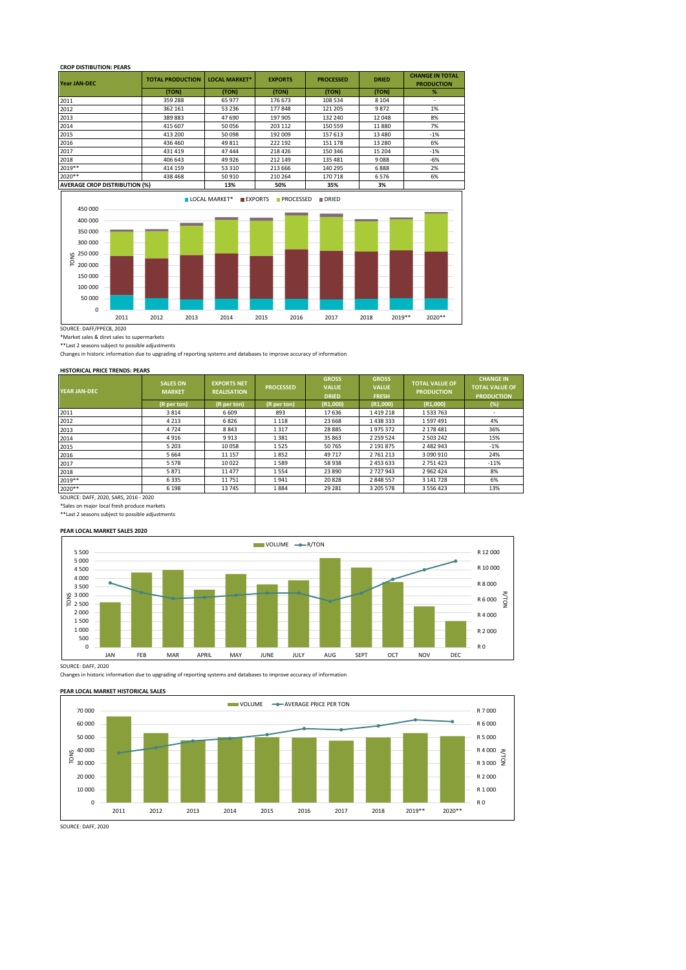## **CROP DISTIBUTION: PEARS**

| <b>Year JAN-DEC</b>                  | <b>TOTAL PRODUCTION</b> | <b>LOCAL MARKET*</b>                   | <b>EXPORTS</b>   | <b>PROCESSED</b> | <b>DRIED</b> | <b>CHANGE IN TOTAL</b><br><b>PRODUCTION</b> |
|--------------------------------------|-------------------------|----------------------------------------|------------------|------------------|--------------|---------------------------------------------|
|                                      | (TON)                   | (TON)                                  | (TON)            | (TON)            | (TON)        | %                                           |
| 2011                                 | 359 288                 | 65 977                                 | 176 673          | 108 534          | 8 1 0 4      |                                             |
| 2012                                 | 362 161                 | 53 236                                 | 177848           | 121 205          | 9872         | 1%                                          |
| 2013                                 | 389883                  | 47 690                                 | 197 905          | 132 240          | 12 048       | 8%                                          |
| 2014                                 | 415 607                 | 50 056                                 | 203 112          | 150 559          | 11880        | 7%                                          |
| 2015                                 | 413 200                 | 50 098                                 | 192 009          | 157 613          | 13 4 8 0     | $-1%$                                       |
| 2016                                 | 436 460                 | 49 811                                 | 222 192          | 151 178          | 13 2 8 0     | 6%                                          |
| 2017                                 | 431 419                 | 47 444                                 | 218 426          | 150 346          | 15 204       | $-1%$                                       |
| 2018                                 | 406 643                 | 49 9 26                                | 212 149          | 135 481          | 9088         | $-6%$                                       |
| 2019**                               | 414 159                 | 53 310                                 | 213 666          | 140 295          | 6888         | 2%                                          |
| 2020**                               | 438 468                 | 50 910                                 | 210 264          | 170 718          | 6576         | 6%                                          |
| <b>AVERAGE CROP DISTRIBUTION (%)</b> |                         | 13%                                    | 50%              | 35%              | 3%           |                                             |
|                                      |                         | <b>LOCAL MARKET*</b><br><b>EXPORTS</b> | <b>PROCESSED</b> | DRIED            |              |                                             |



SOURCE: DAFF/PPECB, 2020

\*Market sales & diret sales to supermarkets

\*\*Last 2 seasons subject to possible adjustments

Changes in historic information due to upgrading of reporting systems and databases to improve accuracy of information

#### **HISTORICAL PRICE TRENDS: PEARS**

| YEAR JAN-DEC                   | <b>SALES ON</b><br><b>MARKET</b> | <b>EXPORTS NET</b><br><b>REALISATION</b> | <b>PROCESSED</b> | <b>GROSS</b><br><b>VALUE</b><br><b>DRIED</b> | <b>GROSS</b><br><b>VALUE</b><br><b>FRESH</b> | <b>TOTAL VALUE OF</b><br><b>PRODUCTION</b> | <b>CHANGE IN</b><br><b>TOTAL VALUE OF</b><br><b>PRODUCTION</b> |
|--------------------------------|----------------------------------|------------------------------------------|------------------|----------------------------------------------|----------------------------------------------|--------------------------------------------|----------------------------------------------------------------|
|                                | (R per ton)                      | $(R$ per ton)                            | (R per ton)      | (R1,000)                                     | (R1,000)                                     | (R1,000)                                   | (%)                                                            |
| 2011                           | 3814                             | 6 6 0 9                                  | 893              | 17636                                        | 1419218                                      | 1533763                                    |                                                                |
| 2012                           | 4 2 1 3                          | 6826                                     | 1 1 1 8          | 23 668                                       | 1438333                                      | 1597491                                    | 4%                                                             |
| 2013                           | 4724                             | 8843                                     | 1317             | 28 8 85                                      | 1975372                                      | 2 178 481                                  | 36%                                                            |
| 2014                           | 4916                             | 9913                                     | 1381             | 35 863                                       | 2 2 5 9 5 2 4                                | 2 503 242                                  | 15%                                                            |
| 2015                           | 5 2 0 3                          | 10058                                    | 1525             | 50765                                        | 2 191 875                                    | 2 482 943                                  | $-1%$                                                          |
| 2016                           | 5 6 6 4                          | 11 157                                   | 1852             | 49 717                                       | 2 761 213                                    | 3 090 910                                  | 24%                                                            |
| 2017                           | 5578                             | 10 0 22                                  | 1589             | 58 938                                       | 2 453 633                                    | 2 751 423                                  | $-11%$                                                         |
| 2018                           | 5871                             | 11 477                                   | 1554             | 23 890                                       | 2 727 943                                    | 2 962 424                                  | 8%                                                             |
| 2019 **                        | 6335                             | 11751                                    | 1941             | 20828                                        | 2 848 557                                    | 3 141 728                                  | 6%                                                             |
| 2020**                         | 6 1 9 8                          | 13745                                    | 1884             | 29 28 1                                      | 3 205 578                                    | 3 556 423                                  | 13%                                                            |
| course pies concerne cost conc |                                  |                                          |                  |                                              |                                              |                                            |                                                                |

SOURCE: DAFF, 2020, SARS, 2016 - 2020 \*Sales on major local fresh produce markets \*\*Last 2 seasons subject to possible adjustments

#### **PEAR LOCAL MARKET SALES 2020**



SOURCE: DAFF, 2020

Changes in historic information due to upgrading of reporting systems and databases to improve accuracy of information





SOURCE: DAFF, 2020